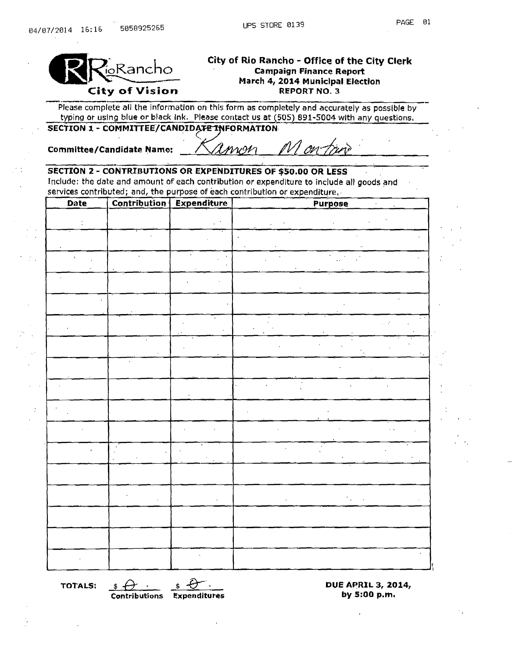

# City of Rio Rancho - Office of the City Clerk Pancho Campaign Finance Report March 4, 2014 Municipal Election<br>REPORT NO. 3

Please complete all the information on this form as completely and accurately as possible by typing or using blue or black ink. Please contact us at (505) 891-5004 with any questions.<br>SECTION 1 - COMMITTEE/CANDIDATE INFORMATION

Committee/Candidate Name: / *CIMW91* 

# SECTION 2 - CONTRIBUTIONS OR EXPENDITURES OF \$50.00 OR LESS

Include: the date and amount of each contribution or expenditure to include all goods and services contributed; and, the purpose of each contribution or expenditure.

| <b>Date</b> |                      | <b>Contribution Expenditure</b> | <b>Purpose</b> |
|-------------|----------------------|---------------------------------|----------------|
|             |                      |                                 |                |
|             |                      |                                 |                |
|             |                      |                                 |                |
|             |                      |                                 |                |
|             |                      |                                 |                |
|             |                      |                                 |                |
|             | $\ddot{\phantom{0}}$ |                                 |                |
|             |                      |                                 |                |
|             |                      |                                 |                |
|             |                      |                                 |                |
|             |                      |                                 |                |
|             |                      |                                 |                |
|             |                      |                                 |                |
|             |                      |                                 |                |
|             |                      |                                 |                |
|             |                      |                                 |                |
|             |                      |                                 |                |

Contributions Expenditures

TOTALS:  $\frac{\text{*} \bigoplus \text{...}}{\text{Contribution}}$   $\frac{\text{*} \bigoplus \text{...}}{\text{Expendltures}}$  DUE APRIL 3, 2014,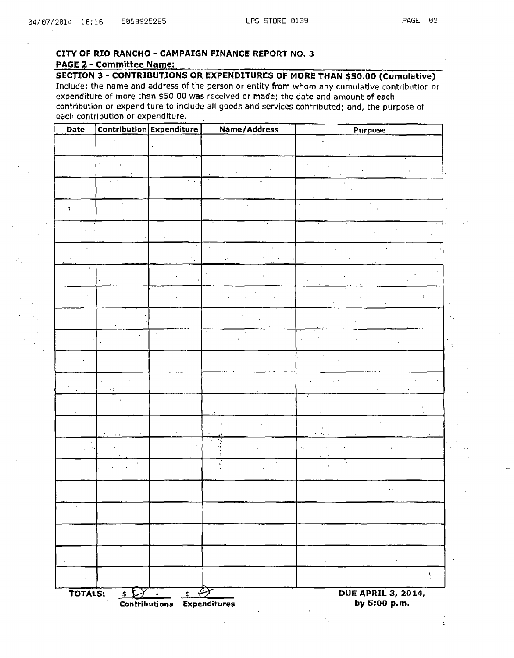ÿ.

### CITY OF RIO RANCHO - CAMPAIGN FINANCE REPORT NO. 3 PAGE 2 - Committee Name:

SECTION 3 - CONTRIBUTIONS OR EXPENDITURES OF MORE THAN \$50.00 (Cumulative) Include: the name and address of the person or entity from whom any cumulative contribution or expenditure of more than \$50.00 was received or made; the date and amount of each contribution or expenditure to include all goods and services contributed; and, the purpose of each contribution or expenditure,

| Date                |               | <b>Contribution Expenditure</b> | Name/Address | <b>Purpose</b>                                                                                                     |
|---------------------|---------------|---------------------------------|--------------|--------------------------------------------------------------------------------------------------------------------|
|                     |               |                                 |              |                                                                                                                    |
|                     |               |                                 |              |                                                                                                                    |
|                     |               | $\sim$ $\sim$                   |              |                                                                                                                    |
|                     |               |                                 |              |                                                                                                                    |
| $\tilde{1}$         |               |                                 |              |                                                                                                                    |
|                     |               |                                 |              |                                                                                                                    |
|                     |               |                                 |              |                                                                                                                    |
|                     |               |                                 |              |                                                                                                                    |
| $\pmb{\cdot}$       |               |                                 |              |                                                                                                                    |
|                     |               |                                 |              |                                                                                                                    |
|                     |               |                                 |              |                                                                                                                    |
|                     |               |                                 |              |                                                                                                                    |
|                     |               |                                 |              |                                                                                                                    |
|                     |               |                                 |              |                                                                                                                    |
|                     |               |                                 |              |                                                                                                                    |
|                     |               |                                 |              |                                                                                                                    |
|                     | ÷,            |                                 |              |                                                                                                                    |
|                     |               |                                 |              |                                                                                                                    |
|                     |               |                                 |              |                                                                                                                    |
|                     |               |                                 |              |                                                                                                                    |
|                     |               |                                 |              |                                                                                                                    |
|                     |               |                                 |              |                                                                                                                    |
|                     |               |                                 |              |                                                                                                                    |
|                     |               |                                 |              |                                                                                                                    |
| $\sim$<br>$\sim 10$ |               |                                 |              |                                                                                                                    |
|                     |               |                                 |              |                                                                                                                    |
|                     |               |                                 |              |                                                                                                                    |
|                     |               |                                 |              | $\mathbf{z}$ and $\mathbf{z}$ are $\mathbf{z}$ and $\mathbf{z}$ are $\mathbf{z}$ and $\mathbf{z}$ are $\mathbf{z}$ |
| $\bullet$           |               |                                 |              | V                                                                                                                  |
| TOTALS:             | $\mathcal{F}$ | $\bullet$<br>$\bullet$          | $\sim$       | <b>DUE APRIL 3, 2014,</b>                                                                                          |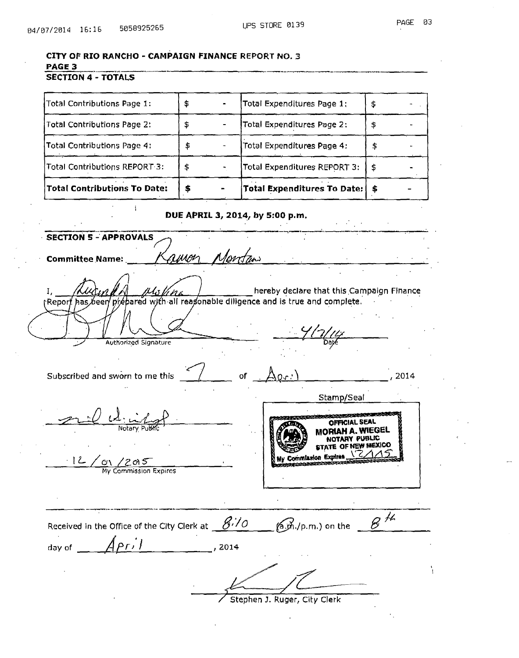|  | CITY OF RIO RANCHO - CAMPAIGN FINANCE REPORT NO. 3 |  |  |  |  |  |
|--|----------------------------------------------------|--|--|--|--|--|
|--|----------------------------------------------------|--|--|--|--|--|

 $\mathbf{i}$ 

## PAGE 3

## **SECTION 4 - TOTALS**

| Total Contributions To Date:  | 5 | Total Expenditures To Date:   \$ |    |
|-------------------------------|---|----------------------------------|----|
| Total Contributions REPORT 3: |   | Total Expenditures REPORT 3:     | \$ |
| Total Contributions Page 4:   |   | Total Expenditures Page 4:       | \$ |
| Total Contributions Page 2:   |   | Total Expenditures Page 2:       | \$ |
| Total Contributions Page 1:   |   | Total Expenditures Page 1:       | \$ |

#### DUE APRIL 3, 2014, by 5:00 p.m.

**SECTION 5 - APPROVALS** 1evrt til **Committee Name:** hereby declare that this Campaign Finance Ι, 'n d prepared with all reasonable diligence and is true and complete. (Repor beer/ has Authorized Signature Subscribed and sworn to me this 2014 of Stamp/Seal OFFICIAL SEAL Notar MORIAH A. WIEGEI NOTARY PUBLIC E OF NEW MEXICO My Commission Expires  $12$ c١ <u>/2015</u> My Commission Expires  $8<sup>14</sup>$ Received in the Office of the City Clerk at  $\frac{\mathscr{G}^{\prime}\mathscr{N}}{\mathscr{O}}$  $(a, d)$ ,  $(p, m)$  on the  $\Delta$ Pril day of  $\_\_$ , 2014 Stephen J. Ruger, City Clerk